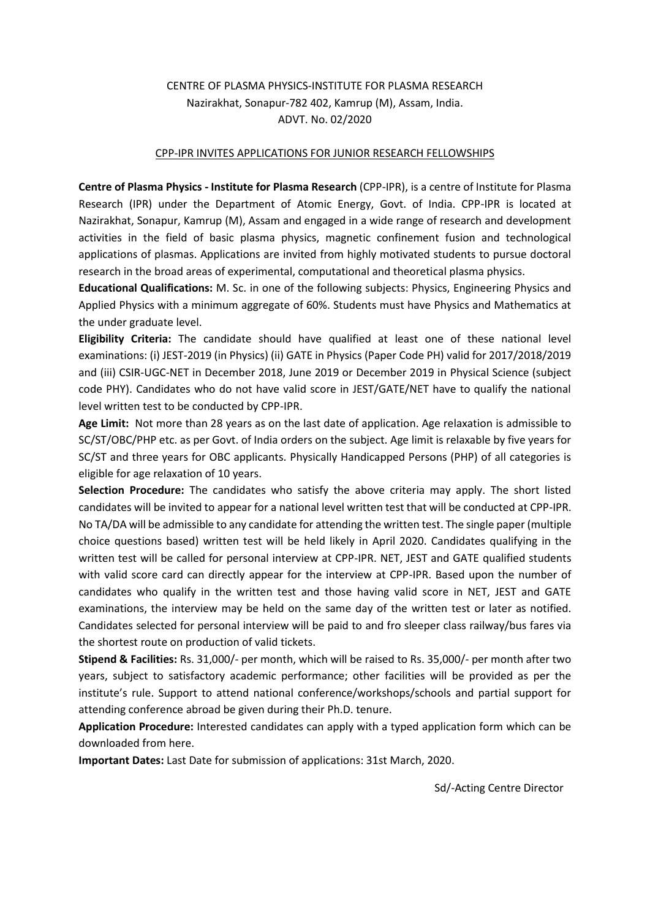## CENTRE OF PLASMA PHYSICS-INSTITUTE FOR PLASMA RESEARCH Nazirakhat, Sonapur-782 402, Kamrup (M), Assam, India. ADVT. No. 02/2020

## CPP-IPR INVITES APPLICATIONS FOR JUNIOR RESEARCH FELLOWSHIPS

**Centre of Plasma Physics - Institute for Plasma Research** (CPP-IPR), is a centre of Institute for Plasma Research (IPR) under the Department of Atomic Energy, Govt. of India. CPP-IPR is located at Nazirakhat, Sonapur, Kamrup (M), Assam and engaged in a wide range of research and development activities in the field of basic plasma physics, magnetic confinement fusion and technological applications of plasmas. Applications are invited from highly motivated students to pursue doctoral research in the broad areas of experimental, computational and theoretical plasma physics.

**Educational Qualifications:** M. Sc. in one of the following subjects: Physics, Engineering Physics and Applied Physics with a minimum aggregate of 60%. Students must have Physics and Mathematics at the under graduate level.

**Eligibility Criteria:** The candidate should have qualified at least one of these national level examinations: (i) JEST-2019 (in Physics) (ii) GATE in Physics (Paper Code PH) valid for 2017/2018/2019 and (iii) CSIR-UGC-NET in December 2018, June 2019 or December 2019 in Physical Science (subject code PHY). Candidates who do not have valid score in JEST/GATE/NET have to qualify the national level written test to be conducted by CPP-IPR.

**Age Limit:** Not more than 28 years as on the last date of application. Age relaxation is admissible to SC/ST/OBC/PHP etc. as per Govt. of India orders on the subject. Age limit is relaxable by five years for SC/ST and three years for OBC applicants. Physically Handicapped Persons (PHP) of all categories is eligible for age relaxation of 10 years.

**Selection Procedure:** The candidates who satisfy the above criteria may apply. The short listed candidates will be invited to appear for a national level written test that will be conducted at CPP-IPR. No TA/DA will be admissible to any candidate for attending the written test. The single paper (multiple choice questions based) written test will be held likely in April 2020. Candidates qualifying in the written test will be called for personal interview at CPP-IPR. NET, JEST and GATE qualified students with valid score card can directly appear for the interview at CPP-IPR. Based upon the number of candidates who qualify in the written test and those having valid score in NET, JEST and GATE examinations, the interview may be held on the same day of the written test or later as notified. Candidates selected for personal interview will be paid to and fro sleeper class railway/bus fares via the shortest route on production of valid tickets.

**Stipend & Facilities:** Rs. 31,000/- per month, which will be raised to Rs. 35,000/- per month after two years, subject to satisfactory academic performance; other facilities will be provided as per the institute's rule. Support to attend national conference/workshops/schools and partial support for attending conference abroad be given during their Ph.D. tenure.

**Application Procedure:** Interested candidates can apply with a typed application form which can be downloaded from here.

**Important Dates:** Last Date for submission of applications: 31st March, 2020.

Sd/-Acting Centre Director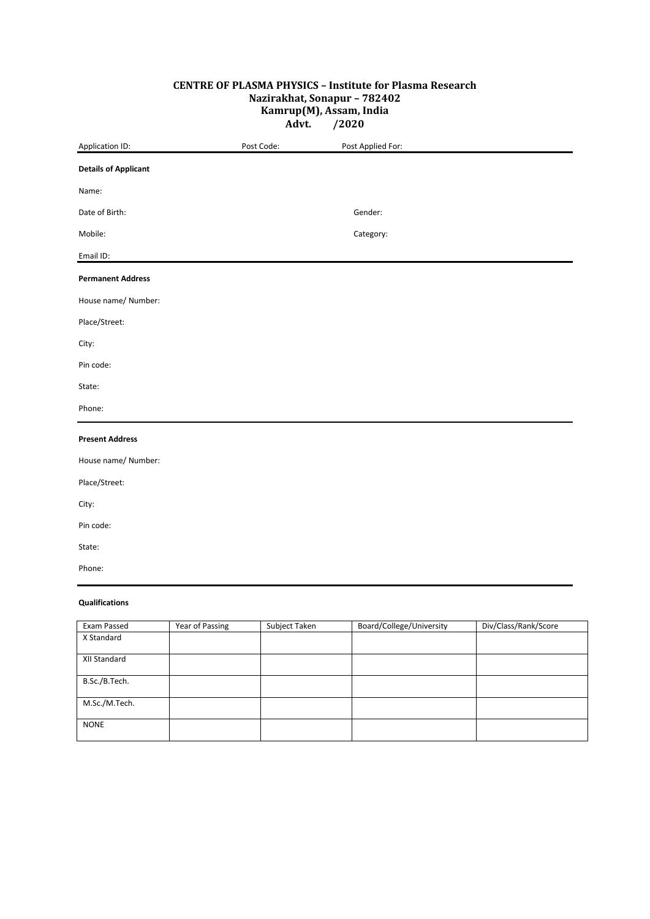## **CENTRE OF PLASMA PHYSICS – Institute for Plasma Research Nazirakhat, Sonapur – 782402 Kamrup(M), Assam, India Advt. /2020**

| Application ID:             | Post Code: | Post Applied For: |
|-----------------------------|------------|-------------------|
| <b>Details of Applicant</b> |            |                   |
| Name:                       |            |                   |
| Date of Birth:              |            | Gender:           |
| Mobile:                     |            | Category:         |
| Email ID:                   |            |                   |
| <b>Permanent Address</b>    |            |                   |
| House name/ Number:         |            |                   |
| Place/Street:               |            |                   |
| City:                       |            |                   |
| Pin code:                   |            |                   |
| State:                      |            |                   |
| Phone:                      |            |                   |
| <b>Present Address</b>      |            |                   |
| House name/ Number:         |            |                   |
| Place/Street:               |            |                   |
| City:                       |            |                   |
| Pin code:                   |            |                   |
| State:                      |            |                   |
| Phone:                      |            |                   |
| <b>Qualifications</b>       |            |                   |

| Exam Passed   | Year of Passing | Subject Taken | Board/College/University | Div/Class/Rank/Score |
|---------------|-----------------|---------------|--------------------------|----------------------|
| X Standard    |                 |               |                          |                      |
|               |                 |               |                          |                      |
| XII Standard  |                 |               |                          |                      |
|               |                 |               |                          |                      |
| B.Sc./B.Tech. |                 |               |                          |                      |
|               |                 |               |                          |                      |
| M.Sc./M.Tech. |                 |               |                          |                      |
|               |                 |               |                          |                      |
| <b>NONE</b>   |                 |               |                          |                      |
|               |                 |               |                          |                      |